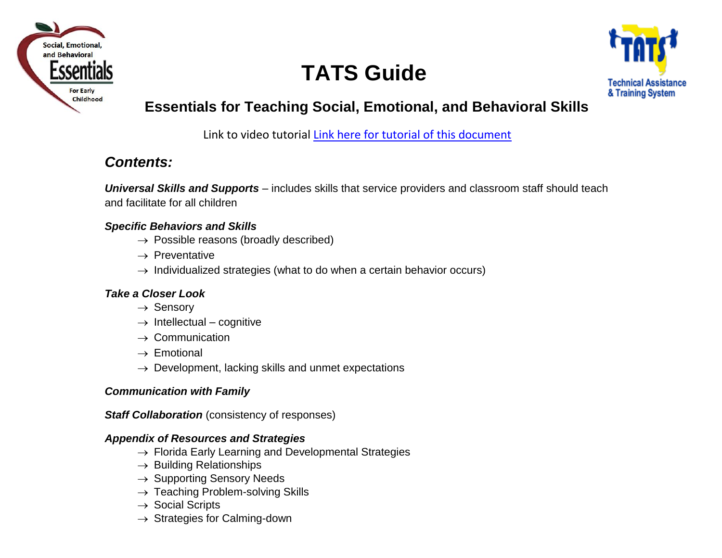

# **TATS Guide**



## **Essentials for Teaching Social, Emotional, and Behavioral Skills**

Link to video tutorial [Link here for tutorial of this document](https://drive.google.com/file/d/1Nj7yXbcyTBoQcvUji5qmNeCBzCA-g4se/view?usp=sharing)

## *Contents:*

*Universal Skills and Supports* – includes skills that service providers and classroom staff should teach and facilitate for all children

## *Specific Behaviors and Skills*

- $\rightarrow$  Possible reasons (broadly described)
- $\rightarrow$  Preventative
- $\rightarrow$  Individualized strategies (what to do when a certain behavior occurs)

## *Take a Closer Look*

- $\rightarrow$  Sensory
- $\rightarrow$  Intellectual cognitive
- $\rightarrow$  Communication
- $\rightarrow$  Emotional
- $\rightarrow$  Development, lacking skills and unmet expectations

## *Communication with Family*

*Staff Collaboration* (consistency of responses)

## *Appendix of Resources and Strategies*

- $\rightarrow$  Florida Early Learning and Developmental Strategies
- $\rightarrow$  Building Relationships
- $\rightarrow$  Supporting Sensory Needs
- $\rightarrow$  Teaching Problem-solving Skills
- $\rightarrow$  Social Scripts
- $\rightarrow$  Strategies for Calming-down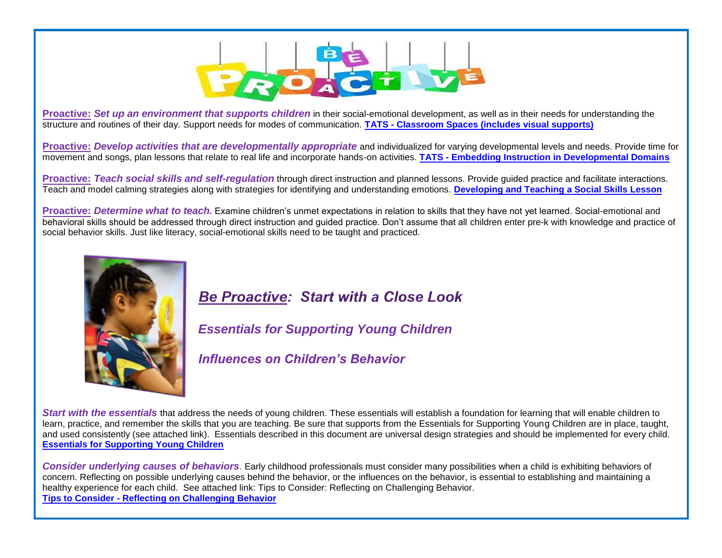

**Proactive:** *Set up an environment that supports children* in their social-emotional development, as well as in their needs for understanding the structure and routines of their day. Support needs for modes of communication. **[TATS - Classroom Spaces \(includes visual supports\)](https://tats.ucf.edu/resources-great-beginnings-focus-classroom-spaces/)**

**Proactive:** *Develop activities that are developmentally appropriate* and individualized for varying developmental levels and needs. Provide time for movement and songs, plan lessons that relate to real life and incorporate hands-on activities. **[TATS - Embedding Instruction in Developmental Domains](https://tats.ucf.edu/rock-your-classroom-focus-on-embedding-instruction-in-developmental-domains/)**

**Proactive:** *Teach social skills and self-regulation* through direct instruction and planned lessons. Provide guided practice and facilitate interactions. Teach and model calming strategies along with strategies for identifying and understanding emotions. **[Developing and Teaching a Social Skills Lesson](https://tats.ucf.edu/wp-content/uploads/sites/32/2018/11/6G.developing-and-teaching-social-lesson-webBESE-funding.pdf)**

**Proactive:** *Determine what to teach.* Examine children's unmet expectations in relation to skills that they have not yet learned. Social-emotional and behavioral skills should be addressed through direct instruction and guided practice. Don't assume that all children enter pre-k with knowledge and practice of social behavior skills. Just like literacy, social-emotional skills need to be taught and practiced.



## **Be Proactive: Start with a Close Look**

*Essentials for Supporting Young Children*

*Influences on Children's Behavior*

*Start with the essentials* that address the needs of young children. These essentials will establish a foundation for learning that will enable children to learn, practice, and remember the skills that you are teaching. Be sure that supports from the Essentials for Supporting Young Children are in place, taught, and used consistently (see attached link). Essentials described in this document are universal design strategies and should be implemented for every child. **[Essentials for Supporting Young Children](https://tats.ucf.edu/wp-content/uploads/sites/9/2020/05/essentials-young-children.pdf)**

*Consider underlying causes of behaviors*. Early childhood professionals must consider many possibilities when a child is exhibiting behaviors of concern. Reflecting on possible underlying causes behind the behavior, or the influences on the behavior, is essential to establishing and maintaining a healthy experience for each child. See attached link: Tips to Consider: Reflecting on Challenging Behavior. **Tips to Consider - [Reflecting on Challenging Behavior](https://tats.ucf.edu/wp-content/uploads/sites/32/2019/01/6C.Tips-to-Consider-BESE-funding-corrected-web.pdf)**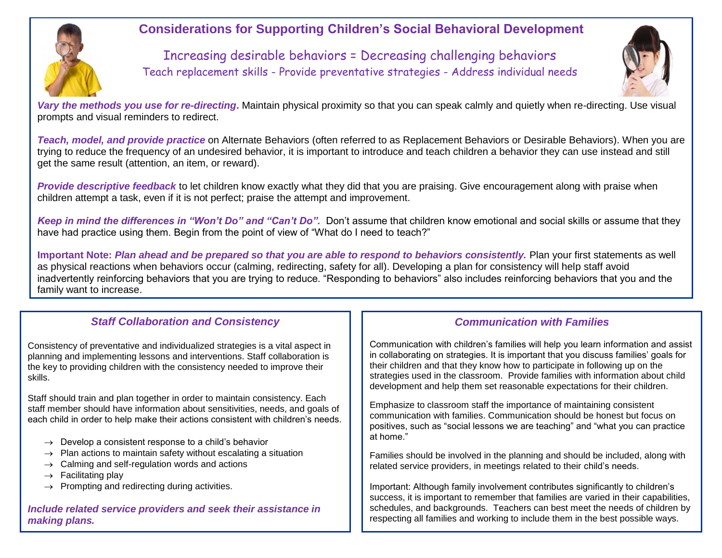

## **Considerations for Supporting Children's Social Behavioral Development**

Increasing desirable behaviors = Decreasing challenging behaviors Teach replacement skills - Provide preventative strategies - Address individual needs



*Vary the methods you use for re-directing***.** Maintain physical proximity so that you can speak calmly and quietly when re-directing. Use visual prompts and visual reminders to redirect.

*Teach, model, and provide practice* on Alternate Behaviors (often referred to as Replacement Behaviors or Desirable Behaviors). When you are trying to reduce the frequency of an undesired behavior, it is important to introduce and teach children a behavior they can use instead and still get the same result (attention, an item, or reward).

*Provide descriptive feedback* to let children know exactly what they did that you are praising. Give encouragement along with praise when children attempt a task, even if it is not perfect; praise the attempt and improvement.

*Keep in mind the differences in "Won't Do" and "Can't Do".* Don't assume that children know emotional and social skills or assume that they have had practice using them. Begin from the point of view of "What do I need to teach?"

**Important Note:** *Plan ahead and be prepared so that you are able to respond to behaviors consistently.* Plan your first statements as well as physical reactions when behaviors occur (calming, redirecting, safety for all). Developing a plan for consistency will help staff avoid inadvertently reinforcing behaviors that you are trying to reduce. "Responding to behaviors" also includes reinforcing behaviors that you and the family want to increase.

### *Staff Collaboration and Consistency*

Consistency of preventative and individualized strategies is a vital aspect in planning and implementing lessons and interventions. Staff collaboration is the key to providing children with the consistency needed to improve their skills.

Staff should train and plan together in order to maintain consistency. Each staff member should have information about sensitivities, needs, and goals of each child in order to help make their actions consistent with children's needs.

- $\rightarrow$  Develop a consistent response to a child's behavior
- $\rightarrow$  Plan actions to maintain safety without escalating a situation
- $\rightarrow$  Calming and self-regulation words and actions
- $\rightarrow$  Facilitating play
- $\rightarrow$  Prompting and redirecting during activities.

*Include related service providers and seek their assistance in making plans.*

### *Communication with Families*

Communication with children's families will help you learn information and assist in collaborating on strategies. It is important that you discuss families' goals for their children and that they know how to participate in following up on the strategies used in the classroom. Provide families with information about child development and help them set reasonable expectations for their children.

Emphasize to classroom staff the importance of maintaining consistent communication with families. Communication should be honest but focus on positives, such as "social lessons we are teaching" and "what you can practice at home."

Families should be involved in the planning and should be included, along with related service providers, in meetings related to their child's needs.

Important: Although family involvement contributes significantly to children's success, it is important to remember that families are varied in their capabilities, schedules, and backgrounds. Teachers can best meet the needs of children by respecting all families and working to include them in the best possible ways.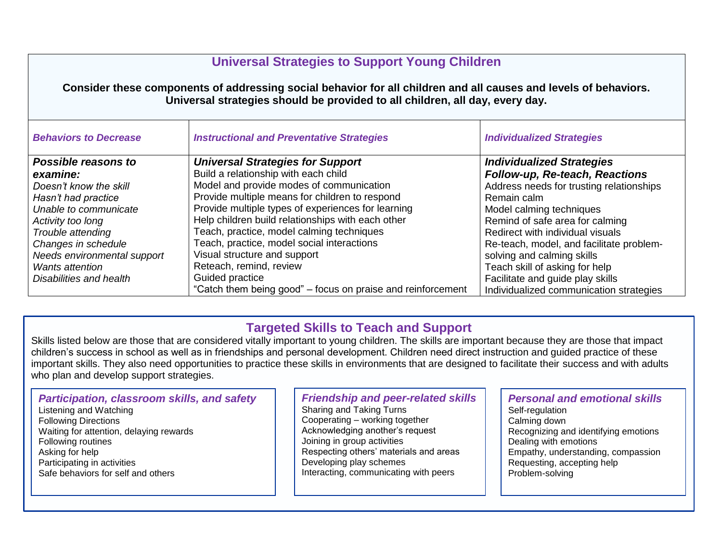## **Universal Strategies to Support Young Children**

#### **Consider these components of addressing social behavior for all children and all causes and levels of behaviors. Universal strategies should be provided to all children, all day, every day.**

| <b>Behaviors to Decrease</b> | <b>Instructional and Preventative Strategies</b>            | <b>Individualized Strategies</b>         |
|------------------------------|-------------------------------------------------------------|------------------------------------------|
| Possible reasons to          | <b>Universal Strategies for Support</b>                     | <b>Individualized Strategies</b>         |
| examine:                     | Build a relationship with each child                        | Follow-up, Re-teach, Reactions           |
| Doesn't know the skill       | Model and provide modes of communication                    | Address needs for trusting relationships |
| Hasn't had practice          | Provide multiple means for children to respond              | Remain calm                              |
| Unable to communicate        | Provide multiple types of experiences for learning          | Model calming techniques                 |
| Activity too long            | Help children build relationships with each other           | Remind of safe area for calming          |
| Trouble attending            | Teach, practice, model calming techniques                   | Redirect with individual visuals         |
| Changes in schedule          | Teach, practice, model social interactions                  | Re-teach, model, and facilitate problem- |
| Needs environmental support  | Visual structure and support                                | solving and calming skills               |
| <b>Wants attention</b>       | Reteach, remind, review                                     | Teach skill of asking for help           |
| Disabilities and health      | Guided practice                                             | Facilitate and guide play skills         |
|                              | "Catch them being good" – focus on praise and reinforcement | Individualized communication strategies  |

## **Targeted Skills to Teach and Support**

Skills listed below are those that are considered vitally important to young children. The skills are important because they are those that impact children's success in school as well as in friendships and personal development. Children need direct instruction and guided practice of these important skills. They also need opportunities to practice these skills in environments that are designed to facilitate their success and with adults who plan and develop support strategies.

#### *Participation, classroom skills, and safety* Listening and Watching Following Directions

- Waiting for attention, delaying rewards Following routines Asking for help Participating in activities
- Safe behaviors for self and others

#### *Friendship and peer-related skills*

Sharing and Taking Turns Cooperating – working together Acknowledging another's request Joining in group activities Respecting others' materials and areas Developing play schemes Interacting, communicating with peers

## *Personal and emotional skills*

Self-regulation Calming down Recognizing and identifying emotions Dealing with emotions Empathy, understanding, compassion Requesting, accepting help Problem-solving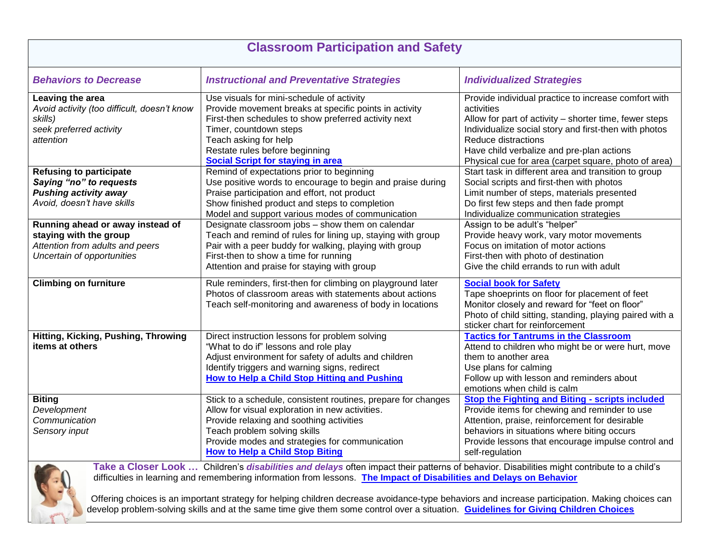| <b>Classroom Participation and Safety</b>                                                                                                                                                                                                                                                                                                                                             |                                                                                                                                                                                                                                                                                              |                                                                                                                                                                                                                                                                                                                   |  |
|---------------------------------------------------------------------------------------------------------------------------------------------------------------------------------------------------------------------------------------------------------------------------------------------------------------------------------------------------------------------------------------|----------------------------------------------------------------------------------------------------------------------------------------------------------------------------------------------------------------------------------------------------------------------------------------------|-------------------------------------------------------------------------------------------------------------------------------------------------------------------------------------------------------------------------------------------------------------------------------------------------------------------|--|
| <b>Behaviors to Decrease</b>                                                                                                                                                                                                                                                                                                                                                          | <b>Instructional and Preventative Strategies</b>                                                                                                                                                                                                                                             | <b>Individualized Strategies</b>                                                                                                                                                                                                                                                                                  |  |
| Leaving the area<br>Avoid activity (too difficult, doesn't know<br>skills)<br>seek preferred activity<br>attention                                                                                                                                                                                                                                                                    | Use visuals for mini-schedule of activity<br>Provide movement breaks at specific points in activity<br>First-then schedules to show preferred activity next<br>Timer, countdown steps<br>Teach asking for help<br>Restate rules before beginning<br><b>Social Script for staying in area</b> | Provide individual practice to increase comfort with<br>activities<br>Allow for part of activity – shorter time, fewer steps<br>Individualize social story and first-then with photos<br>Reduce distractions<br>Have child verbalize and pre-plan actions<br>Physical cue for area (carpet square, photo of area) |  |
| <b>Refusing to participate</b><br>Saying "no" to requests<br><b>Pushing activity away</b><br>Avoid, doesn't have skills                                                                                                                                                                                                                                                               | Remind of expectations prior to beginning<br>Use positive words to encourage to begin and praise during<br>Praise participation and effort, not product<br>Show finished product and steps to completion<br>Model and support various modes of communication                                 | Start task in different area and transition to group<br>Social scripts and first-then with photos<br>Limit number of steps, materials presented<br>Do first few steps and then fade prompt<br>Individualize communication strategies                                                                              |  |
| Running ahead or away instead of<br>staying with the group<br>Attention from adults and peers<br>Uncertain of opportunities                                                                                                                                                                                                                                                           | Designate classroom jobs - show them on calendar<br>Teach and remind of rules for lining up, staying with group<br>Pair with a peer buddy for walking, playing with group<br>First-then to show a time for running<br>Attention and praise for staying with group                            | Assign to be adult's "helper"<br>Provide heavy work, vary motor movements<br>Focus on imitation of motor actions<br>First-then with photo of destination<br>Give the child errands to run with adult                                                                                                              |  |
| <b>Climbing on furniture</b>                                                                                                                                                                                                                                                                                                                                                          | Rule reminders, first-then for climbing on playground later<br>Photos of classroom areas with statements about actions<br>Teach self-monitoring and awareness of body in locations                                                                                                           | <b>Social book for Safety</b><br>Tape shoeprints on floor for placement of feet<br>Monitor closely and reward for "feet on floor"<br>Photo of child sitting, standing, playing paired with a<br>sticker chart for reinforcement                                                                                   |  |
| Hitting, Kicking, Pushing, Throwing<br>items at others                                                                                                                                                                                                                                                                                                                                | Direct instruction lessons for problem solving<br>"What to do if" lessons and role play<br>Adjust environment for safety of adults and children<br>Identify triggers and warning signs, redirect<br>How to Help a Child Stop Hitting and Pushing                                             | <b>Tactics for Tantrums in the Classroom</b><br>Attend to children who might be or were hurt, move<br>them to another area<br>Use plans for calming<br>Follow up with lesson and reminders about<br>emotions when child is calm                                                                                   |  |
| <b>Biting</b><br>Development<br>Communication<br>Sensory input                                                                                                                                                                                                                                                                                                                        | Stick to a schedule, consistent routines, prepare for changes<br>Allow for visual exploration in new activities.<br>Provide relaxing and soothing activities<br>Teach problem solving skills<br>Provide modes and strategies for communication<br><b>How to Help a Child Stop Biting</b>     | <b>Stop the Fighting and Biting - scripts included</b><br>Provide items for chewing and reminder to use<br>Attention, praise, reinforcement for desirable<br>behaviors in situations where biting occurs<br>Provide lessons that encourage impulse control and<br>self-regulation                                 |  |
| Take a Closer Look  Children's disabilities and delays often impact their patterns of behavior. Disabilities might contribute to a child's<br>difficulties in learning and remembering information from lessons. The Impact of Disabilities and Delays on Behavior<br>the contract of the contract of the contract of the contract of the contract of the contract of the contract of |                                                                                                                                                                                                                                                                                              |                                                                                                                                                                                                                                                                                                                   |  |

 Offering choices is an important strategy for helping children decrease avoidance-type behaviors and increase participation. Making choices can help children develop problem-solving skills and at the same time give them some control over a situation. **[Guidelines for Giving Children Choices](https://www.psychologytoday.com/us/blog/joyful-parenting/201602/5-guidelines-giving-kids-choices)**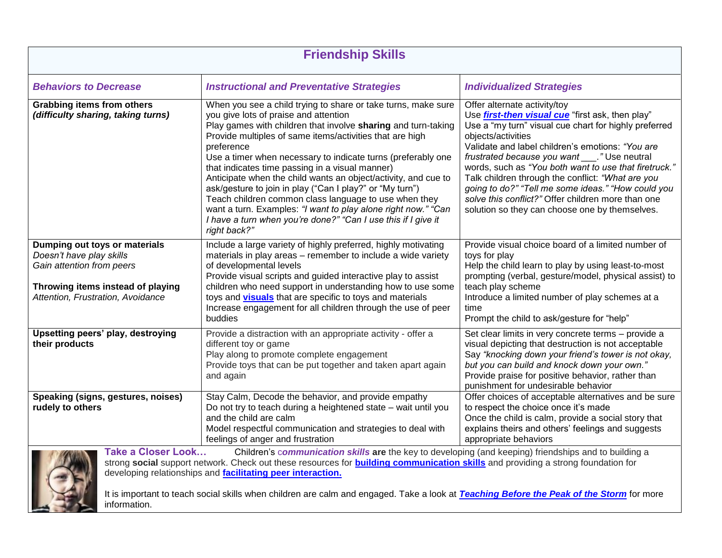| <b>Friendship Skills</b>                                                                                                                                                                                                                                                                                                                                                                                                                                                                                        |                                                                                                                                                                                                                                                                                                                                                                                                                                                                                                                                                                                                                                                                                                               |                                                                                                                                                                                                                                                                                                                                                                                                                                                                                                                                                          |  |
|-----------------------------------------------------------------------------------------------------------------------------------------------------------------------------------------------------------------------------------------------------------------------------------------------------------------------------------------------------------------------------------------------------------------------------------------------------------------------------------------------------------------|---------------------------------------------------------------------------------------------------------------------------------------------------------------------------------------------------------------------------------------------------------------------------------------------------------------------------------------------------------------------------------------------------------------------------------------------------------------------------------------------------------------------------------------------------------------------------------------------------------------------------------------------------------------------------------------------------------------|----------------------------------------------------------------------------------------------------------------------------------------------------------------------------------------------------------------------------------------------------------------------------------------------------------------------------------------------------------------------------------------------------------------------------------------------------------------------------------------------------------------------------------------------------------|--|
| <b>Behaviors to Decrease</b>                                                                                                                                                                                                                                                                                                                                                                                                                                                                                    | <b>Instructional and Preventative Strategies</b>                                                                                                                                                                                                                                                                                                                                                                                                                                                                                                                                                                                                                                                              | <b>Individualized Strategies</b>                                                                                                                                                                                                                                                                                                                                                                                                                                                                                                                         |  |
| <b>Grabbing items from others</b><br>(difficulty sharing, taking turns)                                                                                                                                                                                                                                                                                                                                                                                                                                         | When you see a child trying to share or take turns, make sure<br>you give lots of praise and attention<br>Play games with children that involve sharing and turn-taking<br>Provide multiples of same items/activities that are high<br>preference<br>Use a timer when necessary to indicate turns (preferably one<br>that indicates time passing in a visual manner)<br>Anticipate when the child wants an object/activity, and cue to<br>ask/gesture to join in play ("Can I play?" or "My turn")<br>Teach children common class language to use when they<br>want a turn. Examples: "I want to play alone right now." "Can<br>I have a turn when you're done?" "Can I use this if I give it<br>right back?" | Offer alternate activity/toy<br>Use <i>first-then visual cue</i> "first ask, then play"<br>Use a "my turn" visual cue chart for highly preferred<br>objects/activities<br>Validate and label children's emotions: "You are<br>frustrated because you want ____." Use neutral<br>words, such as "You both want to use that firetruck."<br>Talk children through the conflict: "What are you<br>going to do?" "Tell me some ideas." "How could you<br>solve this conflict?" Offer children more than one<br>solution so they can choose one by themselves. |  |
| Dumping out toys or materials<br>Doesn't have play skills<br>Gain attention from peers<br>Throwing items instead of playing<br>Attention, Frustration, Avoidance                                                                                                                                                                                                                                                                                                                                                | Include a large variety of highly preferred, highly motivating<br>materials in play areas - remember to include a wide variety<br>of developmental levels<br>Provide visual scripts and guided interactive play to assist<br>children who need support in understanding how to use some<br>toys and <b>visuals</b> that are specific to toys and materials<br>Increase engagement for all children through the use of peer<br>buddies                                                                                                                                                                                                                                                                         | Provide visual choice board of a limited number of<br>toys for play<br>Help the child learn to play by using least-to-most<br>prompting (verbal, gesture/model, physical assist) to<br>teach play scheme<br>Introduce a limited number of play schemes at a<br>time<br>Prompt the child to ask/gesture for "help"                                                                                                                                                                                                                                        |  |
| Upsetting peers' play, destroying<br>their products                                                                                                                                                                                                                                                                                                                                                                                                                                                             | Provide a distraction with an appropriate activity - offer a<br>different toy or game<br>Play along to promote complete engagement<br>Provide toys that can be put together and taken apart again<br>and again                                                                                                                                                                                                                                                                                                                                                                                                                                                                                                | Set clear limits in very concrete terms - provide a<br>visual depicting that destruction is not acceptable<br>Say "knocking down your friend's tower is not okay,<br>but you can build and knock down your own."<br>Provide praise for positive behavior, rather than<br>punishment for undesirable behavior                                                                                                                                                                                                                                             |  |
| Speaking (signs, gestures, noises)<br>rudely to others                                                                                                                                                                                                                                                                                                                                                                                                                                                          | Stay Calm, Decode the behavior, and provide empathy<br>Do not try to teach during a heightened state - wait until you<br>and the child are calm<br>Model respectful communication and strategies to deal with<br>feelings of anger and frustration                                                                                                                                                                                                                                                                                                                                                                                                                                                            | Offer choices of acceptable alternatives and be sure<br>to respect the choice once it's made<br>Once the child is calm, provide a social story that<br>explains theirs and others' feelings and suggests<br>appropriate behaviors                                                                                                                                                                                                                                                                                                                        |  |
| <b>Take a Closer Look</b><br>Children's communication skills are the key to developing (and keeping) friendships and to building a<br>strong social support network. Check out these resources for <b>building communication skills</b> and providing a strong foundation for<br>developing relationships and facilitating peer interaction.<br>It is important to teach social skills when children are calm and engaged. Take a look at <b>Teaching Before the Peak of the Storm</b> for more<br>information. |                                                                                                                                                                                                                                                                                                                                                                                                                                                                                                                                                                                                                                                                                                               |                                                                                                                                                                                                                                                                                                                                                                                                                                                                                                                                                          |  |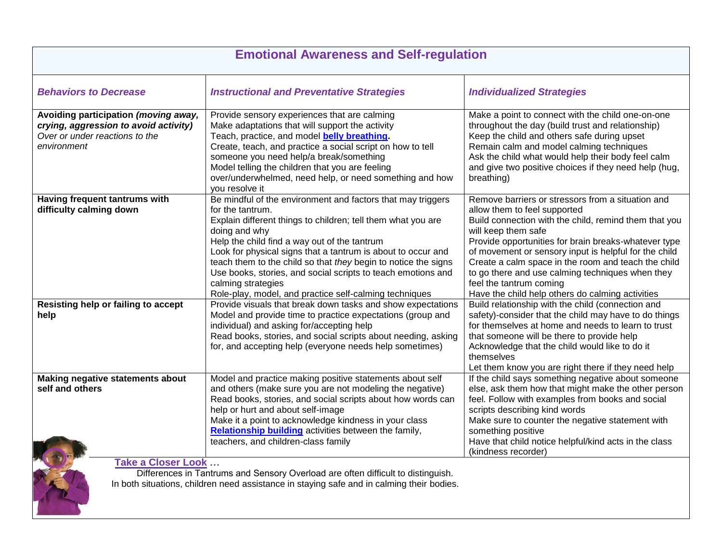| <b>Emotional Awareness and Self-regulation</b>                                                                                                                                                              |                                                                                                                                                                                                                                                                                                                                                                                                                                                                                                    |                                                                                                                                                                                                                                                                                                                                                                                                                                                                              |  |
|-------------------------------------------------------------------------------------------------------------------------------------------------------------------------------------------------------------|----------------------------------------------------------------------------------------------------------------------------------------------------------------------------------------------------------------------------------------------------------------------------------------------------------------------------------------------------------------------------------------------------------------------------------------------------------------------------------------------------|------------------------------------------------------------------------------------------------------------------------------------------------------------------------------------------------------------------------------------------------------------------------------------------------------------------------------------------------------------------------------------------------------------------------------------------------------------------------------|--|
| <b>Behaviors to Decrease</b>                                                                                                                                                                                | <b>Instructional and Preventative Strategies</b>                                                                                                                                                                                                                                                                                                                                                                                                                                                   | <b>Individualized Strategies</b>                                                                                                                                                                                                                                                                                                                                                                                                                                             |  |
| Avoiding participation (moving away,<br>crying, aggression to avoid activity)<br>Over or under reactions to the<br>environment                                                                              | Provide sensory experiences that are calming<br>Make adaptations that will support the activity<br>Teach, practice, and model belly breathing.<br>Create, teach, and practice a social script on how to tell<br>someone you need help/a break/something<br>Model telling the children that you are feeling<br>over/underwhelmed, need help, or need something and how<br>you resolve it                                                                                                            | Make a point to connect with the child one-on-one<br>throughout the day (build trust and relationship)<br>Keep the child and others safe during upset<br>Remain calm and model calming techniques<br>Ask the child what would help their body feel calm<br>and give two positive choices if they need help (hug,<br>breathing)                                                                                                                                               |  |
| Having frequent tantrums with<br>difficulty calming down                                                                                                                                                    | Be mindful of the environment and factors that may triggers<br>for the tantrum.<br>Explain different things to children; tell them what you are<br>doing and why<br>Help the child find a way out of the tantrum<br>Look for physical signs that a tantrum is about to occur and<br>teach them to the child so that they begin to notice the signs<br>Use books, stories, and social scripts to teach emotions and<br>calming strategies<br>Role-play, model, and practice self-calming techniques | Remove barriers or stressors from a situation and<br>allow them to feel supported<br>Build connection with the child, remind them that you<br>will keep them safe<br>Provide opportunities for brain breaks-whatever type<br>of movement or sensory input is helpful for the child<br>Create a calm space in the room and teach the child<br>to go there and use calming techniques when they<br>feel the tantrum coming<br>Have the child help others do calming activities |  |
| Resisting help or failing to accept<br>help                                                                                                                                                                 | Provide visuals that break down tasks and show expectations<br>Model and provide time to practice expectations (group and<br>individual) and asking for/accepting help<br>Read books, stories, and social scripts about needing, asking<br>for, and accepting help (everyone needs help sometimes)                                                                                                                                                                                                 | Build relationship with the child (connection and<br>safety)-consider that the child may have to do things<br>for themselves at home and needs to learn to trust<br>that someone will be there to provide help<br>Acknowledge that the child would like to do it<br>themselves<br>Let them know you are right there if they need help                                                                                                                                        |  |
| Making negative statements about<br>self and others                                                                                                                                                         | Model and practice making positive statements about self<br>and others (make sure you are not modeling the negative)<br>Read books, stories, and social scripts about how words can<br>help or hurt and about self-image<br>Make it a point to acknowledge kindness in your class<br>Relationship building activities between the family,<br>teachers, and children-class family                                                                                                                   | If the child says something negative about someone<br>else, ask them how that might make the other person<br>feel. Follow with examples from books and social<br>scripts describing kind words<br>Make sure to counter the negative statement with<br>something positive<br>Have that child notice helpful/kind acts in the class<br>(kindness recorder)                                                                                                                     |  |
| <b>Take a Closer Look </b><br>Differences in Tantrums and Sensory Overload are often difficult to distinguish.<br>In both situations, children need assistance in staying safe and in calming their bodies. |                                                                                                                                                                                                                                                                                                                                                                                                                                                                                                    |                                                                                                                                                                                                                                                                                                                                                                                                                                                                              |  |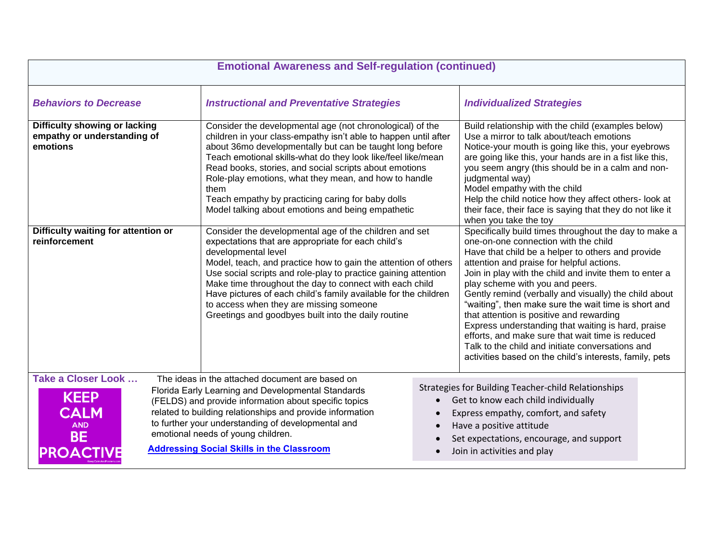| <b>Emotional Awareness and Self-regulation (continued)</b>                                                      |                                                                                                                                                                                                                                                                                                                                                                                                                                                                                                                                                         |                                     |                                                                                                                                                                                                                                                                                                                                                                                                                                                                                                                                                                                                                           |  |
|-----------------------------------------------------------------------------------------------------------------|---------------------------------------------------------------------------------------------------------------------------------------------------------------------------------------------------------------------------------------------------------------------------------------------------------------------------------------------------------------------------------------------------------------------------------------------------------------------------------------------------------------------------------------------------------|-------------------------------------|---------------------------------------------------------------------------------------------------------------------------------------------------------------------------------------------------------------------------------------------------------------------------------------------------------------------------------------------------------------------------------------------------------------------------------------------------------------------------------------------------------------------------------------------------------------------------------------------------------------------------|--|
| <b>Behaviors to Decrease</b>                                                                                    | <b>Instructional and Preventative Strategies</b>                                                                                                                                                                                                                                                                                                                                                                                                                                                                                                        |                                     | <b>Individualized Strategies</b>                                                                                                                                                                                                                                                                                                                                                                                                                                                                                                                                                                                          |  |
| Difficulty showing or lacking<br>empathy or understanding of<br>emotions<br>Difficulty waiting for attention or | Consider the developmental age (not chronological) of the<br>children in your class-empathy isn't able to happen until after<br>about 36mo developmentally but can be taught long before<br>Teach emotional skills-what do they look like/feel like/mean<br>Read books, stories, and social scripts about emotions<br>Role-play emotions, what they mean, and how to handle<br>them<br>Teach empathy by practicing caring for baby dolls<br>Model talking about emotions and being empathetic<br>Consider the developmental age of the children and set |                                     | Build relationship with the child (examples below)<br>Use a mirror to talk about/teach emotions<br>Notice-your mouth is going like this, your eyebrows<br>are going like this, your hands are in a fist like this,<br>you seem angry (this should be in a calm and non-<br>judgmental way)<br>Model empathy with the child<br>Help the child notice how they affect others- look at<br>their face, their face is saying that they do not like it<br>when you take the toy<br>Specifically build times throughout the day to make a                                                                                        |  |
| reinforcement                                                                                                   | expectations that are appropriate for each child's<br>developmental level<br>Model, teach, and practice how to gain the attention of others<br>Use social scripts and role-play to practice gaining attention<br>Make time throughout the day to connect with each child<br>Have pictures of each child's family available for the children<br>to access when they are missing someone<br>Greetings and goodbyes built into the daily routine                                                                                                           |                                     | one-on-one connection with the child<br>Have that child be a helper to others and provide<br>attention and praise for helpful actions.<br>Join in play with the child and invite them to enter a<br>play scheme with you and peers.<br>Gently remind (verbally and visually) the child about<br>"waiting", then make sure the wait time is short and<br>that attention is positive and rewarding<br>Express understanding that waiting is hard, praise<br>efforts, and make sure that wait time is reduced<br>Talk to the child and initiate conversations and<br>activities based on the child's interests, family, pets |  |
| <b>Take a Closer Look </b><br><b>KEEP</b><br><b>CALM</b><br><b>AND</b><br><b>BE</b><br><b>PROACTIVE</b>         | The ideas in the attached document are based on<br>Florida Early Learning and Developmental Standards<br>(FELDS) and provide information about specific topics<br>related to building relationships and provide information<br>to further your understanding of developmental and<br>emotional needs of young children.<br><b>Addressing Social Skills in the Classroom</b>                                                                                                                                                                             | $\bullet$<br>$\bullet$<br>$\bullet$ | Strategies for Building Teacher-child Relationships<br>Get to know each child individually<br>Express empathy, comfort, and safety<br>Have a positive attitude<br>Set expectations, encourage, and support<br>Join in activities and play                                                                                                                                                                                                                                                                                                                                                                                 |  |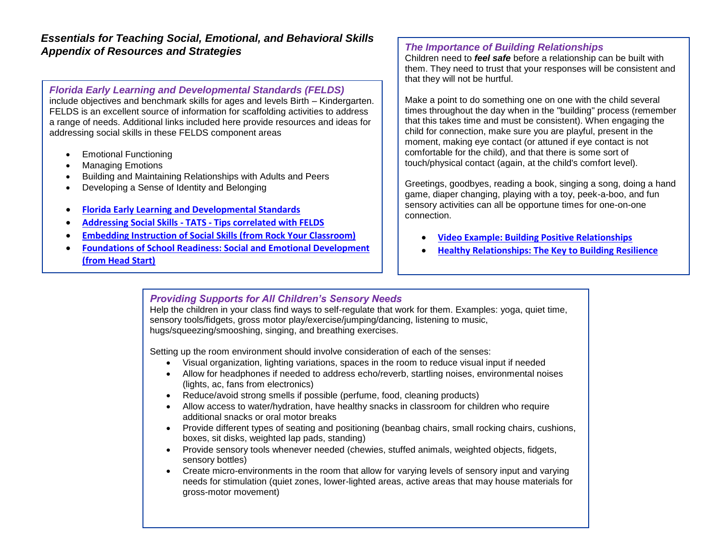#### *Essentials for Teaching Social, Emotional, and Behavioral Skills Appendix of Resources and Strategies*

#### *Florida Early Learning and Developmental Standards (FELDS)*

include objectives and benchmark skills for ages and levels Birth – Kindergarten. FELDS is an excellent source of information for scaffolding activities to address a range of needs. Additional links included here provide resources and ideas for addressing social skills in these FELDS component areas

- Emotional Functioning
- Managing Emotions
- Building and Maintaining Relationships with Adults and Peers
- Developing a Sense of Identity and Belonging
- **[Florida Early Learning and Developmental Standards](http://flbt5.floridaearlylearning.com/)**
- **Addressing Social Skills - TATS - [Tips correlated with FELDS](https://tats.ucf.edu/wp-content/uploads/sites/9/2019/02/Addressing-Social-Skills-in-the-Classroom-logo-ada-funding-sections.pdf)**
- **[Embedding Instruction of Social Skills \(from Rock Your Classroom\)](https://tats.ucf.edu/wp-content/uploads/sites/9/2018/09/Embedded-social-2c.pdf)**
- **[Foundations of School Readiness: Social and Emotional Development](https://tats.ucf.edu/wp-content/uploads/sites/9/2018/01/nycu-social-emotional-development-for-K-ready.pdf)  [\(from Head Start\)](https://tats.ucf.edu/wp-content/uploads/sites/9/2018/01/nycu-social-emotional-development-for-K-ready.pdf)**

#### *The Importance of Building Relationships*

Children need to *feel safe* before a relationship can be built with them. They need to trust that your responses will be consistent and that they will not be hurtful.

Make a point to do something one on one with the child several times throughout the day when in the "building" process (remember that this takes time and must be consistent). When engaging the child for connection, make sure you are playful, present in the moment, making eye contact (or attuned if eye contact is not comfortable for the child), and that there is some sort of touch/physical contact (again, at the child's comfort level).

Greetings, goodbyes, reading a book, singing a song, doing a hand game, diaper changing, playing with a toy, peek-a-boo, and fun sensory activities can all be opportune times for one-on-one connection.

- **[Video Example: Building Positive Relationships](https://www.easternct.edu/center-for-early-childhood-education/supporting-development/building-positive-relationships.html)**
- **[Healthy Relationships: The Key to Building Resilience](https://srhd.org/media/documents/resilience1.pdf)**

#### *Providing Supports for All Children's Sensory Needs*

Help the children in your class find ways to self-regulate that work for them. Examples: yoga, quiet time, sensory tools/fidgets, gross motor play/exercise/jumping/dancing, listening to music, hugs/squeezing/smooshing, singing, and breathing exercises.

Setting up the room environment should involve consideration of each of the senses:

- Visual organization, lighting variations, spaces in the room to reduce visual input if needed
- Allow for headphones if needed to address echo/reverb, startling noises, environmental noises (lights, ac, fans from electronics)
- Reduce/avoid strong smells if possible (perfume, food, cleaning products)
- Allow access to water/hydration, have healthy snacks in classroom for children who require additional snacks or oral motor breaks
- Provide different types of seating and positioning (beanbag chairs, small rocking chairs, cushions, boxes, sit disks, weighted lap pads, standing)
- Provide sensory tools whenever needed (chewies, stuffed animals, weighted objects, fidgets, sensory bottles)
- Create micro-environments in the room that allow for varying levels of sensory input and varying needs for stimulation (quiet zones, lower-lighted areas, active areas that may house materials for gross-motor movement)